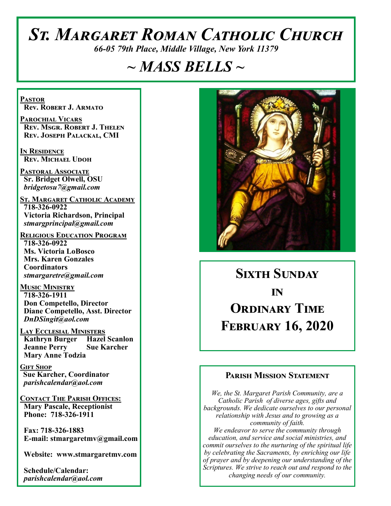# *St. Margaret Roman Catholic Church*

*66-05 79th Place, Middle Village, New York 11379*

# *~ MASS BELLS ~*

**Pastor Rev. Robert J. Armato**

**Parochial Vicars Rev. Msgr. Robert J. Thelen Rev. Joseph Palackal, CMI**

**In Residence Rev. Michael Udoh**

**Pastoral Associate Sr. Bridget Olwell, OSU**  *bridgetosu7@gmail.com*

**St. Margaret Catholic Academy 718-326-0922 Victoria Richardson, Principal**  *stmargprincipal@gmail.com*

**Religious Education Program 718-326-0922 Ms. Victoria LoBosco Mrs. Karen Gonzales Coordinators** *stmargaretre@gmail.com*

**Music Ministry 718-326-1911 Don Competello, Director Diane Competello, Asst. Director** *DnDSingit@aol.com*

**Lay Ecclesial Ministers Kathryn Burger Hazel Scanlon Jeanne Perry Sue Karcher Mary Anne Todzia**

**Gift Shop Sue Karcher, Coordinator** *parishcalendar@aol.com*

**Contact The Parish Offices: Mary Pascale, Receptionist Phone: 718-326-1911** 

 **Fax: 718-326-1883 E-mail: stmargaretmv@gmail.com**

 **Website: www.stmargaretmv.com**

 **Schedule/Calendar:** *parishcalendar@aol.com* 



# **Sixth Sunday in Ordinary Time February 16, 2020**

#### **Parish Mission Statement**

*We, the St. Margaret Parish Community, are a Catholic Parish of diverse ages, gifts and backgrounds. We dedicate ourselves to our personal relationship with Jesus and to growing as a community of faith. We endeavor to serve the community through education, and service and social ministries, and commit ourselves to the nurturing of the spiritual life by celebrating the Sacraments, by enriching our life of prayer and by deepening our understanding of the Scriptures. We strive to reach out and respond to the changing needs of our community.*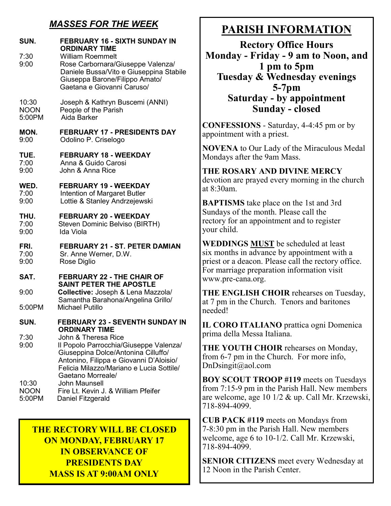## *MASSES FOR THE WEEK*

| SUN.<br>7:30<br>9:00 | <b>FEBRUARY 16 - SIXTH SUNDAY IN</b><br><b>ORDINARY TIME</b><br><b>William Roemmelt</b><br>Rose Carbornara/Giuseppe Valenza/<br>Daniele Bussa/Vito e Giuseppina Stabile<br>Giuseppa Barone/Filippo Amato/<br>Gaetana e Giovanni Caruso/ |
|----------------------|-----------------------------------------------------------------------------------------------------------------------------------------------------------------------------------------------------------------------------------------|
| 10:30                | Joseph & Kathryn Buscemi (ANNI)                                                                                                                                                                                                         |
| <b>NOON</b>          | People of the Parish                                                                                                                                                                                                                    |
| 5:00PM               | Aida Barker                                                                                                                                                                                                                             |
| MON.                 | <b>FEBRUARY 17 - PRESIDENTS DAY</b>                                                                                                                                                                                                     |
| 9:00                 | Odolino P. Criselogo                                                                                                                                                                                                                    |
| TUE.                 | <b>FEBRUARY 18 - WEEKDAY</b>                                                                                                                                                                                                            |
| 7:00                 | Anna & Guido Carosi                                                                                                                                                                                                                     |
| 9:00                 | John & Anna Rice                                                                                                                                                                                                                        |
| WED.                 | <b>FEBRUARY 19 - WEEKDAY</b>                                                                                                                                                                                                            |
| 7:00                 | Intention of Margaret Butler                                                                                                                                                                                                            |
| 9:00                 | Lottie & Stanley Andrzejewski                                                                                                                                                                                                           |
| THU.                 | <b>FEBRUARY 20 - WEEKDAY</b>                                                                                                                                                                                                            |
| 7:00                 | Steven Dominic Belviso (BIRTH)                                                                                                                                                                                                          |
| 9:00                 | Ida Viola                                                                                                                                                                                                                               |
| FRI.                 | <b>FEBRUARY 21 - ST. PETER DAMIAN</b>                                                                                                                                                                                                   |
| 7:00                 | Sr. Anne Werner, D.W.                                                                                                                                                                                                                   |
| 9:00                 | Rose Diglio                                                                                                                                                                                                                             |
| SAT.                 | <b>FEBRUARY 22 - THE CHAIR OF</b><br><b>SAINT PETER THE APOSTLE</b>                                                                                                                                                                     |
| 9:00                 | Collective: Joseph & Lena Mazzola/                                                                                                                                                                                                      |
| 5:00PM               | Samantha Barahona/Angelina Grillo/<br><b>Michael Putillo</b>                                                                                                                                                                            |
| SUN.                 | <b>FEBRUARY 23 - SEVENTH SUNDAY IN</b><br><b>ORDINARY TIME</b>                                                                                                                                                                          |
| 7:30<br>9:00         | John & Theresa Rice<br>Il Popolo Parrocchia/Giuseppe Valenza/<br>Giuseppina Dolce/Antonina Cilluffo/<br>Antonino, Filippa e Giovanni D'Aloisio/<br>Felicia Milazzo/Mariano e Lucia Sottile/<br>Gaetano Morreale/                        |
| 10:30                | <b>John Maunsell</b>                                                                                                                                                                                                                    |
| <b>NOON</b>          | Fire Lt. Kevin J. & William Pfeifer                                                                                                                                                                                                     |
| 5:00PM               | Daniel Fitzgerald                                                                                                                                                                                                                       |

### **THE RECTORY WILL BE CLOSED ON MONDAY, FEBRUARY 17 IN OBSERVANCE OF PRESIDENTS DAY MASS IS AT 9:00AM ONLY**

# **PARISH INFORMATION**

**Rectory Office Hours Monday - Friday - 9 am to Noon, and 1 pm to 5pm Tuesday & Wednesday evenings 5-7pm Saturday - by appointment Sunday - closed**

**CONFESSIONS** - Saturday, 4-4:45 pm or by appointment with a priest.

**NOVENA** to Our Lady of the Miraculous Medal Mondays after the 9am Mass.

#### **THE ROSARY AND DIVINE MERCY** devotion are prayed every morning in the church at 8:30am.

**BAPTISMS** take place on the 1st and 3rd Sundays of the month. Please call the rectory for an appointment and to register your child.

**WEDDINGS MUST** be scheduled at least six months in advance by appointment with a priest or a deacon. Please call the rectory office. For marriage preparation information visit www.pre-cana.org.

**THE ENGLISH CHOIR** rehearses on Tuesday, at 7 pm in the Church. Tenors and baritones needed!

**IL CORO ITALIANO** prattica ogni Domenica prima della Messa Italiana.

**THE YOUTH CHOIR** rehearses on Monday, from 6-7 pm in the Church. For more info, DnDsingit@aol.com

**BOY SCOUT TROOP #119** meets on Tuesdays from 7:15-9 pm in the Parish Hall. New members are welcome, age 10 1/2 & up. Call Mr. Krzewski, 718-894-4099.

**CUB PACK #119** meets on Mondays from 7-8:30 pm in the Parish Hall. New members welcome, age 6 to 10-1/2. Call Mr. Krzewski, 718-894-4099.

**SENIOR CITIZENS** meet every Wednesday at 12 Noon in the Parish Center.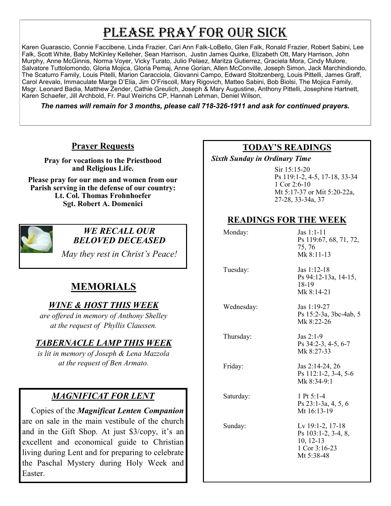# PLEASE PRAY FOR OUR SICK

Karen Guarascio, Connie Faccibene, Linda Frazier, Cari Ann Falk-LoBello, Glen Falk, Ronald Frazier, Robert Sabini, Lee Falk, Scott White, Baby McKinley Kelleher, Sean Harrison, Justin James Quirke, Elizabeth Ott, Mary Harrison, John Murphy, Anne McGinnis, Norma Voyer, Vicky Turato, Julio Pelaez, Maritza Gutierrez, Graciela Mora, Cindy Mulore, Salvatore Tuttolomondo, Gloria Mojica, Gloria Pemaj, Anne Gorian, Allen McConville, Joseph Simon, Jack Marchindiondo, The Scaturro Family, Louis Pitelli, Marion Caracciola, Giovanni Campo, Edward Stoltzenberg, Louis Pittelli, James Graff, Carol Arevalo, Immaculate Marge D'Elia, Jim O'Friscoll, Mary Rigovich, Matteo Sabini, Bob Biolsi, The Mojica Family, Msgr. Leonard Badia, Matthew Zender, Cathie Greulich, Joseph & Mary Augustine, Anthony Pittelli, Josephine Hartnett, Karen Schaefer, Jill Archbold, Fr. Paul Weirichs CP, Hannah Lehman, Deniel Wilson,

*The names will remain for 3 months, please call 718-326-1911 and ask for continued prayers.*

#### **Prayer Requests**

**Pray for vocations to the Priesthood and Religious Life.** 

**Please pray for our men and women from our Parish serving in the defense of our country: Lt. Col. Thomas Frohnhoefer Sgt. Robert A. Domenici** 



#### *WE RECALL OUR BELOVED DECEASED*

*May they rest in Christ's Peace!*

# **MEMORIALS**

### *WINE & HOST THIS WEEK*

*are offered in memory of Anthony Shelley at the request of Phyllis Claussen.* 

#### *TABERNACLE LAMP THIS WEEK*

*is lit in memory of Joseph & Lena Mazzola at the request of Ben Armato.* 

### *MAGNIFICAT FOR LENT*

 Copies of the *Magnificat Lenten Companion*  are on sale in the main vestibule of the church and in the Gift Shop. At just \$3/copy, it's an excellent and economical guide to Christian living during Lent and for preparing to celebrate the Paschal Mystery during Holy Week and Easter.

#### **TODAY'S READINGS**

 *Sixth Sunday in Ordinary Time* 

Sir 15:15-20 Ps 119:1-2, 4-5, 17-18, 33-34 1 Cor 2:6-10 Mt 5:17-37 or Mit 5:20-22a, 27-28, 33-34a, 37

### **READINGS FOR THE WEEK**

| Monday:    | $\text{Jas } 1:1-11$<br>Ps 119:67, 68, 71, 72,<br>75, 76<br>Mk 8:11-13                |
|------------|---------------------------------------------------------------------------------------|
| Tuesday:   | Jas $1:12-18$<br>Ps 94:12-13a, 14-15,<br>18-19<br>Mk 8:14-21                          |
| Wednesday: | Jas 1:19-27<br>Ps 15:2-3a, 3bc-4ab, 5<br>Mk $8:22-26$                                 |
| Thursday:  | Jas $2:1-9$<br>Ps 34:2-3, 4-5, 6-7<br>Mk 8:27-33                                      |
| Friday:    | Jas 2:14-24, 26<br>Ps 112:1-2, 3-4, 5-6<br>Mk 8:34-9:1                                |
| Saturday:  | 1 Pt $5:1-4$<br>Ps $23:1-3a, 4, 5, 6$<br>Mt 16:13-19                                  |
| Sunday:    | Lv 19:1-2, 17-18<br>Ps 103:1-2, 3-4, 8,<br>$10, 12-13$<br>1 Cor 3:16-23<br>Mt 5:38-48 |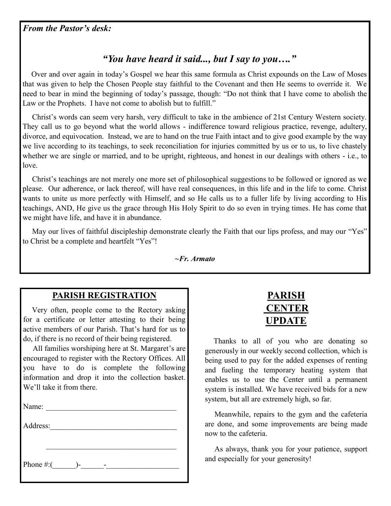## *"You have heard it said..., but I say to you…."*

 Over and over again in today's Gospel we hear this same formula as Christ expounds on the Law of Moses that was given to help the Chosen People stay faithful to the Covenant and then He seems to override it. We need to bear in mind the beginning of today's passage, though: "Do not think that I have come to abolish the Law or the Prophets. I have not come to abolish but to fulfill."

 Christ's words can seem very harsh, very difficult to take in the ambience of 21st Century Western society. They call us to go beyond what the world allows - indifference toward religious practice, revenge, adultery, divorce, and equivocation. Instead, we are to hand on the true Faith intact and to give good example by the way we live according to its teachings, to seek reconciliation for injuries committed by us or to us, to live chastely whether we are single or married, and to be upright, righteous, and honest in our dealings with others - i.e., to love.

 Christ's teachings are not merely one more set of philosophical suggestions to be followed or ignored as we please. Our adherence, or lack thereof, will have real consequences, in this life and in the life to come. Christ wants to unite us more perfectly with Himself, and so He calls us to a fuller life by living according to His teachings, AND, He give us the grace through His Holy Spirit to do so even in trying times. He has come that we might have life, and have it in abundance.

May our lives of faithful discipleship demonstrate clearly the Faith that our lips profess, and may our "Yes" to Christ be a complete and heartfelt "Yes"!

*~Fr. Armato*

#### **PARISH REGISTRATION**

 Very often, people come to the Rectory asking for a certificate or letter attesting to their being active members of our Parish. That's hard for us to do, if there is no record of their being registered.

 All families worshiping here at St. Margaret's are encouraged to register with the Rectory Offices. All you have to do is complete the following information and drop it into the collection basket. We'll take it from there.

| Name:                   |  |
|-------------------------|--|
| Address:                |  |
|                         |  |
| Phone #:( $\qquad$ )- - |  |



 Thanks to all of you who are donating so generously in our weekly second collection, which is being used to pay for the added expenses of renting and fueling the temporary heating system that enables us to use the Center until a permanent system is installed. We have received bids for a new system, but all are extremely high, so far.

 Meanwhile, repairs to the gym and the cafeteria are done, and some improvements are being made now to the cafeteria.

 As always, thank you for your patience, support and especially for your generosity!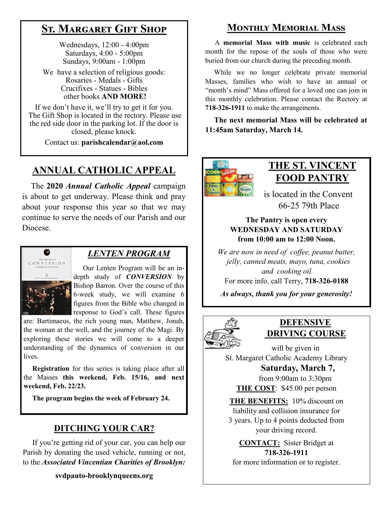# **St. Margaret Gift Shop**

Wednesdays, 12:00 - 4:00pm Saturdays, 4:00 - 5:00pm Sundays, 9:00am - 1:00pm

We have a selection of religious goods: Rosaries - Medals - Gifts Crucifixes - Statues - Bibles other books **AND MORE!**

If we don't have it, we'll try to get it for you. The Gift Shop is located in the rectory. Please use the red side door in the parking lot. If the door is closed, please knock.

Contact us: **parishcalendar@aol.com**

# **ANNUAL CATHOLIC APPEAL**

 The **2020** *Annual Catholic Appeal* campaign is about to get underway. Please think and pray about your response this year so that we may continue to serve the needs of our Parish and our Diocese.



#### *LENTEN PROGRAM*

 Our Lenten Program will be an indepth study of *CONVERSION* by Bishop Barron. Over the course of this 6-week study, we will examine 6 figures from the Bible who changed in response to God's call. These figures

are: Bartimaeus, the rich young man, Matthew, Jonah, the woman at the well, and the journey of the Magi. By exploring these stories we will come to a deeper understanding of the dynamics of conversion in our lives.

 **Registration** for this series is taking place after all the Masses **this weekend, Feb. 15/16, and next weekend, Feb. 22/23.** 

**The program begins the week of February 24.**

## **DITCHING YOUR CAR?**

 If you're getting rid of your car, you can help our Parish by donating the used vehicle, running or not, to the *Associated Vincentian Charities of Brooklyn:*

#### **svdpauto-brooklynqueens.org**

## **Monthly Memorial Mass**

 A **memorial Mass with music** is celebrated each month for the repose of the souls of those who were buried from our church during the preceding month.

 While we no longer celebrate private memorial Masses, families who wish to have an annual or "month's mind" Mass offered for a loved one can join in this monthly celebration. Please contact the Rectory at **718-326-1911** to make the arrangements.

 **The next memorial Mass will be celebrated at 11:45am Saturday, March 14.** 



## **THE ST. VINCENT FOOD PANTRY**

 is located in the Convent 66-25 79th Place

#### **The Pantry is open every WEDNESDAY AND SATURDAY from 10:00 am to 12:00 Noon.**

*We are now in need of coffee, peanut butter, jelly, canned meats, mayo, tuna, cookies and cooking oil.* 

For more info. call Terry, **718-326-0188**

*As always, thank you for your generosity!*



### **DEFENSIVE DRIVING COURSE**

 will be given in St. Margaret Catholic Academy Library

 **Saturday, March 7,** from 9:00am to 3:30pm **THE COST**: \$45.00 per person

**THE BENEFITS:** 10% discount on liability and collision insurance for 3 years. Up to 4 points deducted from your driving record.

**CONTACT:** Sister Bridget at **718-326-1911**

for more information or to register.